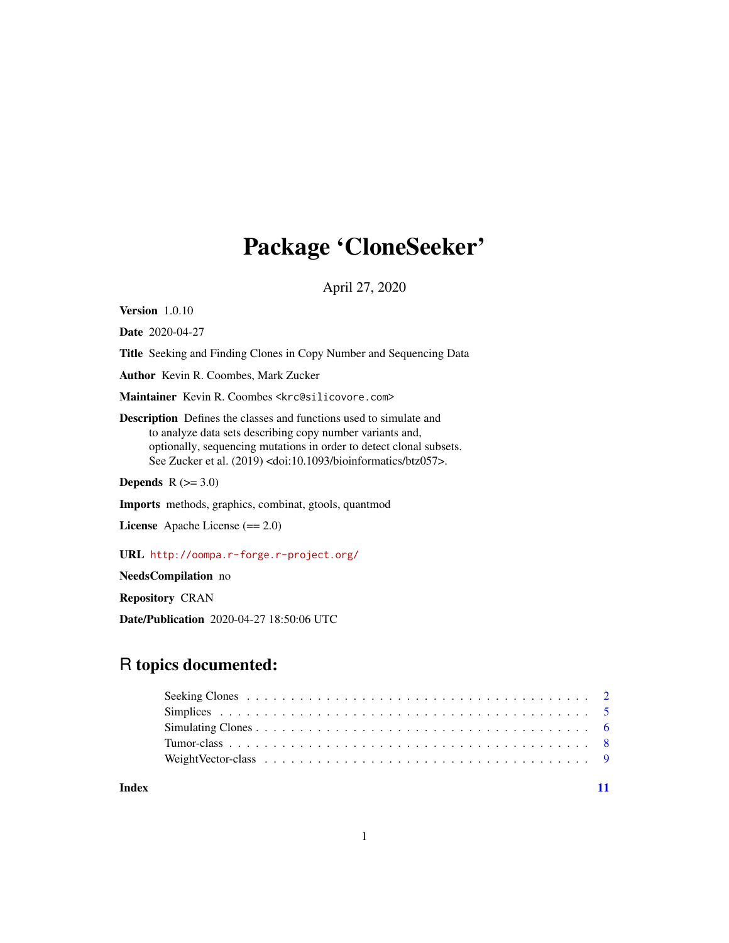## Package 'CloneSeeker'

April 27, 2020

Version 1.0.10

Date 2020-04-27

Title Seeking and Finding Clones in Copy Number and Sequencing Data

Author Kevin R. Coombes, Mark Zucker

Maintainer Kevin R. Coombes <krc@silicovore.com>

Description Defines the classes and functions used to simulate and to analyze data sets describing copy number variants and, optionally, sequencing mutations in order to detect clonal subsets. See Zucker et al. (2019) <doi:10.1093/bioinformatics/btz057>.

Depends  $R$  ( $>= 3.0$ )

Imports methods, graphics, combinat, gtools, quantmod

License Apache License (== 2.0)

URL <http://oompa.r-forge.r-project.org/>

NeedsCompilation no

Repository CRAN

Date/Publication 2020-04-27 18:50:06 UTC

### R topics documented:

#### **Index** [11](#page-10-0)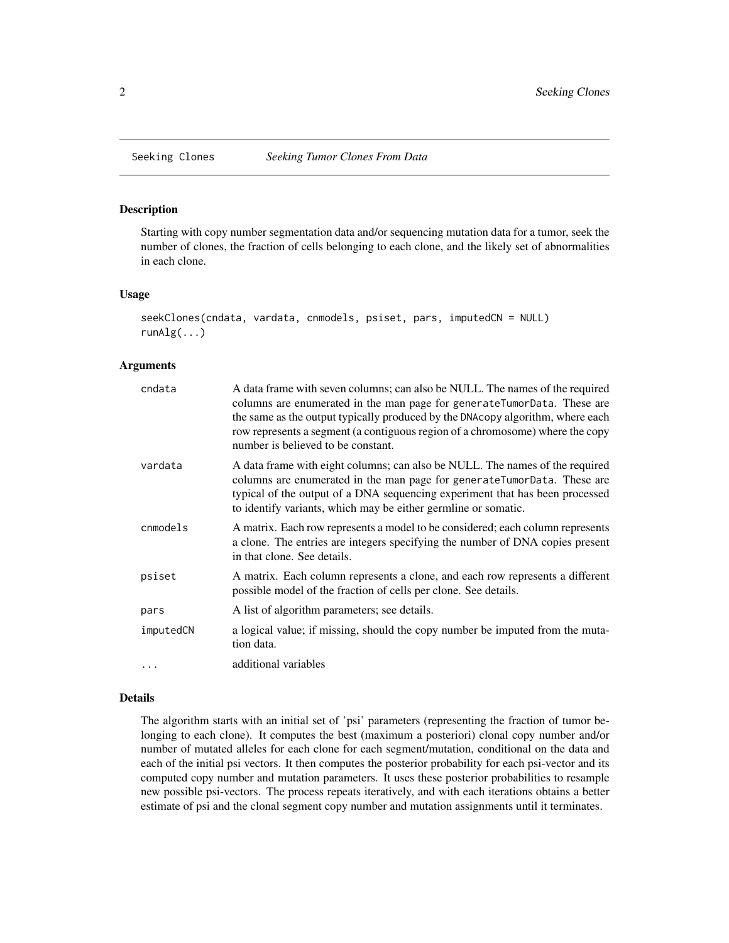<span id="page-1-0"></span>

#### Description

Starting with copy number segmentation data and/or sequencing mutation data for a tumor, seek the number of clones, the fraction of cells belonging to each clone, and the likely set of abnormalities in each clone.

#### Usage

```
seekClones(cndata, vardata, cnmodels, psiset, pars, imputedCN = NULL)
runAlg(...)
```
#### Arguments

| cndata    | A data frame with seven columns; can also be NULL. The names of the required<br>columns are enumerated in the man page for generateTumorData. These are<br>the same as the output typically produced by the DNAcopy algorithm, where each<br>row represents a segment (a contiguous region of a chromosome) where the copy<br>number is believed to be constant. |
|-----------|------------------------------------------------------------------------------------------------------------------------------------------------------------------------------------------------------------------------------------------------------------------------------------------------------------------------------------------------------------------|
| vardata   | A data frame with eight columns; can also be NULL. The names of the required<br>columns are enumerated in the man page for generateTumorData. These are<br>typical of the output of a DNA sequencing experiment that has been processed<br>to identify variants, which may be either germline or somatic.                                                        |
| cnmodels  | A matrix. Each row represents a model to be considered; each column represents<br>a clone. The entries are integers specifying the number of DNA copies present<br>in that clone. See details.                                                                                                                                                                   |
| psiset    | A matrix. Each column represents a clone, and each row represents a different<br>possible model of the fraction of cells per clone. See details.                                                                                                                                                                                                                 |
| pars      | A list of algorithm parameters; see details.                                                                                                                                                                                                                                                                                                                     |
| imputedCN | a logical value; if missing, should the copy number be imputed from the muta-<br>tion data.                                                                                                                                                                                                                                                                      |
| $\cdots$  | additional variables                                                                                                                                                                                                                                                                                                                                             |

#### Details

The algorithm starts with an initial set of 'psi' parameters (representing the fraction of tumor belonging to each clone). It computes the best (maximum a posteriori) clonal copy number and/or number of mutated alleles for each clone for each segment/mutation, conditional on the data and each of the initial psi vectors. It then computes the posterior probability for each psi-vector and its computed copy number and mutation parameters. It uses these posterior probabilities to resample new possible psi-vectors. The process repeats iteratively, and with each iterations obtains a better estimate of psi and the clonal segment copy number and mutation assignments until it terminates.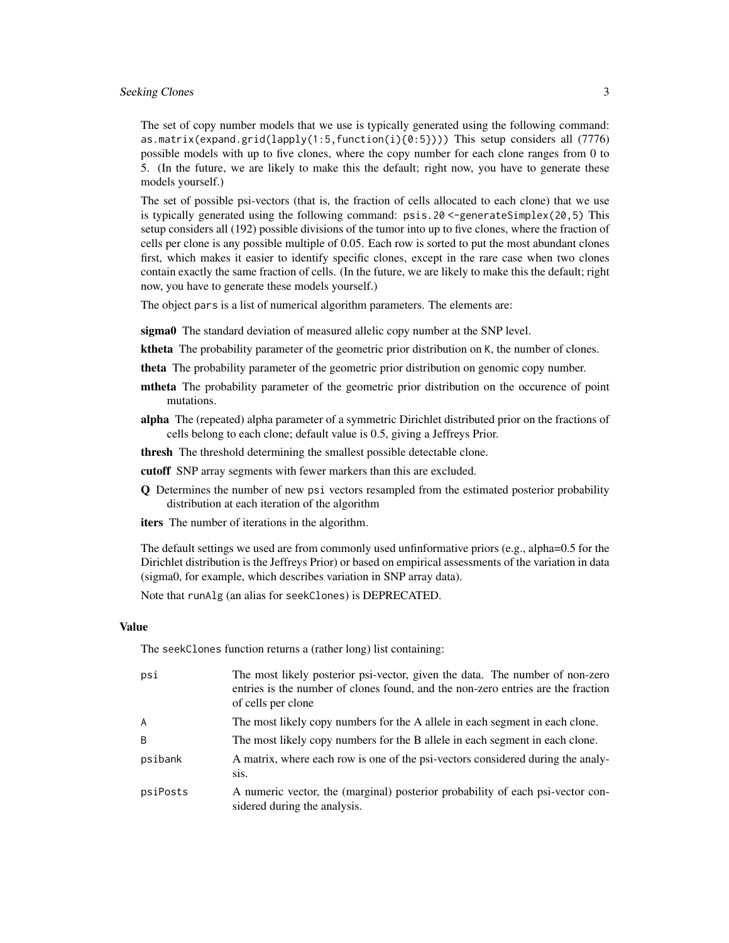#### Seeking Clones 3

The set of copy number models that we use is typically generated using the following command: as.matrix(expand.grid(lapply(1:5,function(i){0:5}))) This setup considers all (7776) possible models with up to five clones, where the copy number for each clone ranges from 0 to 5. (In the future, we are likely to make this the default; right now, you have to generate these models yourself.)

The set of possible psi-vectors (that is, the fraction of cells allocated to each clone) that we use is typically generated using the following command: psis.20 <-generateSimplex(20,5) This setup considers all (192) possible divisions of the tumor into up to five clones, where the fraction of cells per clone is any possible multiple of 0.05. Each row is sorted to put the most abundant clones first, which makes it easier to identify specific clones, except in the rare case when two clones contain exactly the same fraction of cells. (In the future, we are likely to make this the default; right now, you have to generate these models yourself.)

The object pars is a list of numerical algorithm parameters. The elements are:

sigma0 The standard deviation of measured allelic copy number at the SNP level.

ktheta The probability parameter of the geometric prior distribution on K, the number of clones.

theta The probability parameter of the geometric prior distribution on genomic copy number.

- mtheta The probability parameter of the geometric prior distribution on the occurence of point mutations.
- alpha The (repeated) alpha parameter of a symmetric Dirichlet distributed prior on the fractions of cells belong to each clone; default value is 0.5, giving a Jeffreys Prior.
- thresh The threshold determining the smallest possible detectable clone.

cutoff SNP array segments with fewer markers than this are excluded.

- Q Determines the number of new psi vectors resampled from the estimated posterior probability distribution at each iteration of the algorithm
- iters The number of iterations in the algorithm.

The default settings we used are from commonly used unfinformative priors (e.g., alpha=0.5 for the Dirichlet distribution is the Jeffreys Prior) or based on empirical assessments of the variation in data (sigma0, for example, which describes variation in SNP array data).

Note that runAlg (an alias for seekClones) is DEPRECATED.

#### Value

The seekClones function returns a (rather long) list containing:

| psi            | The most likely posterior psi-vector, given the data. The number of non-zero<br>entries is the number of clones found, and the non-zero entries are the fraction<br>of cells per clone |
|----------------|----------------------------------------------------------------------------------------------------------------------------------------------------------------------------------------|
| $\overline{A}$ | The most likely copy numbers for the A allele in each segment in each clone.                                                                                                           |
| B.             | The most likely copy numbers for the B allele in each segment in each clone.                                                                                                           |
| psibank        | A matrix, where each row is one of the psi-vectors considered during the analy-<br>sis.                                                                                                |
| psiPosts       | A numeric vector, the (marginal) posterior probability of each psi-vector con-<br>sidered during the analysis.                                                                         |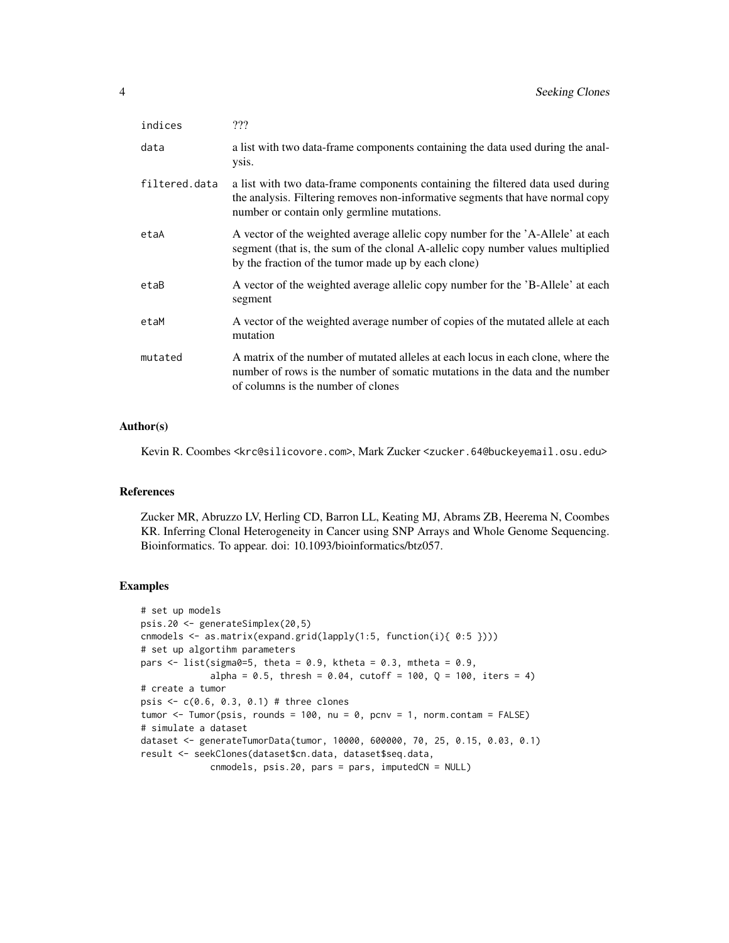| ???                                                                                                                                                                                                                       |
|---------------------------------------------------------------------------------------------------------------------------------------------------------------------------------------------------------------------------|
| a list with two data-frame components containing the data used during the anal-<br>ysis.                                                                                                                                  |
| a list with two data-frame components containing the filtered data used during<br>the analysis. Filtering removes non-informative segments that have normal copy<br>number or contain only germline mutations.            |
| A vector of the weighted average allelic copy number for the 'A-Allele' at each<br>segment (that is, the sum of the clonal A-allelic copy number values multiplied<br>by the fraction of the tumor made up by each clone) |
| A vector of the weighted average allelic copy number for the 'B-Allele' at each<br>segment                                                                                                                                |
| A vector of the weighted average number of copies of the mutated allele at each<br>mutation                                                                                                                               |
| A matrix of the number of mutated alleles at each locus in each clone, where the<br>number of rows is the number of somatic mutations in the data and the number<br>of columns is the number of clones                    |
|                                                                                                                                                                                                                           |

#### Author(s)

Kevin R. Coombes <krc@silicovore.com>, Mark Zucker <zucker.64@buckeyemail.osu.edu>

#### References

Zucker MR, Abruzzo LV, Herling CD, Barron LL, Keating MJ, Abrams ZB, Heerema N, Coombes KR. Inferring Clonal Heterogeneity in Cancer using SNP Arrays and Whole Genome Sequencing. Bioinformatics. To appear. doi: 10.1093/bioinformatics/btz057.

```
# set up models
psis.20 <- generateSimplex(20,5)
cnmodels <- as.matrix(expand.grid(lapply(1:5, function(i){ 0:5 })))
# set up algortihm parameters
pars \le list(sigma0=5, theta = 0.9, ktheta = 0.3, mtheta = 0.9,
             alpha = 0.5, thresh = 0.04, cutoff = 100, Q = 100, iters = 4)
# create a tumor
psis <- c(0.6, 0.3, 0.1) # three clones
tumor \le Tumor(psis, rounds = 100, nu = 0, pcnv = 1, norm.contam = FALSE)
# simulate a dataset
dataset <- generateTumorData(tumor, 10000, 600000, 70, 25, 0.15, 0.03, 0.1)
result <- seekClones(dataset$cn.data, dataset$seq.data,
             cnmodels, psis.20, pars = pars, imputedCN = NULL)
```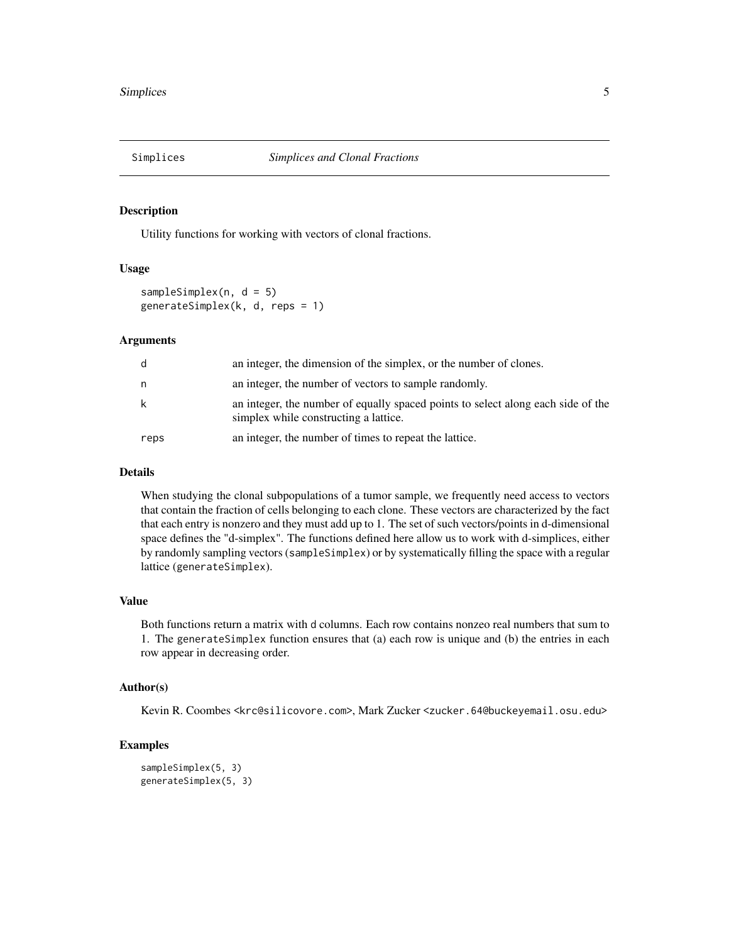<span id="page-4-1"></span><span id="page-4-0"></span>

#### **Description**

Utility functions for working with vectors of clonal fractions.

### Usage

```
sampleSimplex(n, d = 5)
generateSimplex(k, d, reps = 1)
```
#### Arguments

| d    | an integer, the dimension of the simplex, or the number of clones.                                                        |
|------|---------------------------------------------------------------------------------------------------------------------------|
| n.   | an integer, the number of vectors to sample randomly.                                                                     |
| k    | an integer, the number of equally spaced points to select along each side of the<br>simplex while constructing a lattice. |
| reps | an integer, the number of times to repeat the lattice.                                                                    |

#### Details

When studying the clonal subpopulations of a tumor sample, we frequently need access to vectors that contain the fraction of cells belonging to each clone. These vectors are characterized by the fact that each entry is nonzero and they must add up to 1. The set of such vectors/points in d-dimensional space defines the "d-simplex". The functions defined here allow us to work with d-simplices, either by randomly sampling vectors (sampleSimplex) or by systematically filling the space with a regular lattice (generateSimplex).

#### Value

Both functions return a matrix with d columns. Each row contains nonzeo real numbers that sum to 1. The generateSimplex function ensures that (a) each row is unique and (b) the entries in each row appear in decreasing order.

#### Author(s)

Kevin R. Coombes <krc@silicovore.com>, Mark Zucker <zucker.64@buckeyemail.osu.edu>

```
sampleSimplex(5, 3)
generateSimplex(5, 3)
```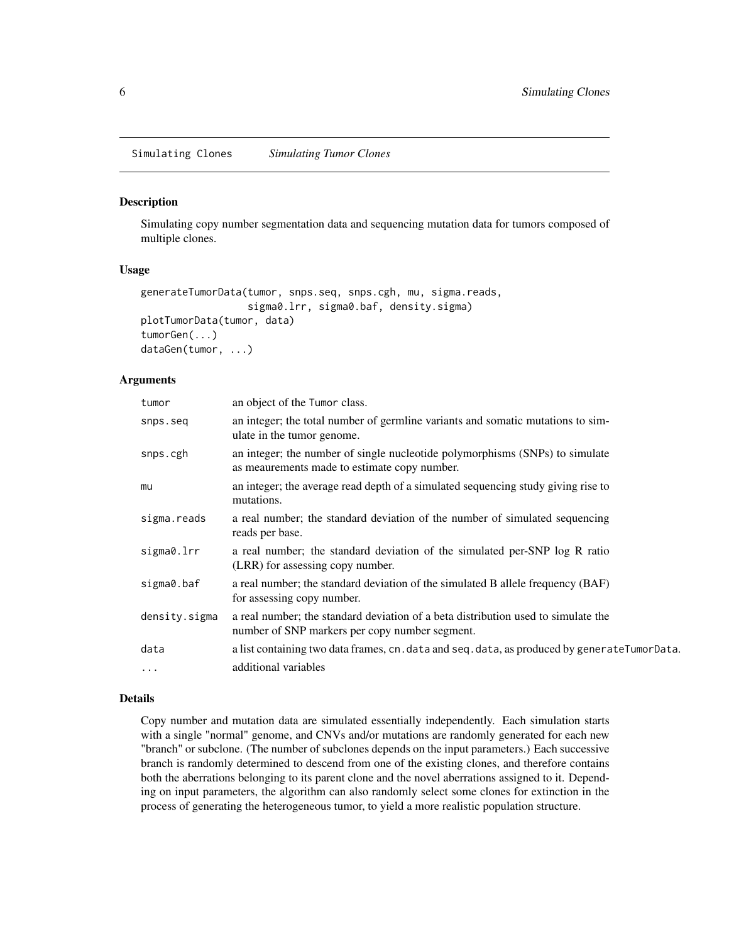<span id="page-5-0"></span>Simulating Clones *Simulating Tumor Clones*

#### Description

Simulating copy number segmentation data and sequencing mutation data for tumors composed of multiple clones.

#### Usage

```
generateTumorData(tumor, snps.seq, snps.cgh, mu, sigma.reads,
                  sigma0.lrr, sigma0.baf, density.sigma)
plotTumorData(tumor, data)
tumorGen(...)
dataGen(tumor, ...)
```
#### Arguments

| tumor         | an object of the Tumor class.                                                                                                       |
|---------------|-------------------------------------------------------------------------------------------------------------------------------------|
| snps.seq      | an integer; the total number of germline variants and somatic mutations to sim-<br>ulate in the tumor genome.                       |
| snps.cgh      | an integer; the number of single nucleotide polymorphisms (SNPs) to simulate<br>as meaurements made to estimate copy number.        |
| mu            | an integer; the average read depth of a simulated sequencing study giving rise to<br>mutations.                                     |
| sigma.reads   | a real number; the standard deviation of the number of simulated sequencing<br>reads per base.                                      |
| sigma0.lrr    | a real number; the standard deviation of the simulated per-SNP log R ratio<br>(LRR) for assessing copy number.                      |
| sigma0.baf    | a real number; the standard deviation of the simulated B allele frequency (BAF)<br>for assessing copy number.                       |
| density.sigma | a real number; the standard deviation of a beta distribution used to simulate the<br>number of SNP markers per copy number segment. |
| data          | a list containing two data frames, cn. data and seq. data, as produced by generateTumorData.                                        |
| $\cdots$      | additional variables                                                                                                                |

#### Details

Copy number and mutation data are simulated essentially independently. Each simulation starts with a single "normal" genome, and CNVs and/or mutations are randomly generated for each new "branch" or subclone. (The number of subclones depends on the input parameters.) Each successive branch is randomly determined to descend from one of the existing clones, and therefore contains both the aberrations belonging to its parent clone and the novel aberrations assigned to it. Depending on input parameters, the algorithm can also randomly select some clones for extinction in the process of generating the heterogeneous tumor, to yield a more realistic population structure.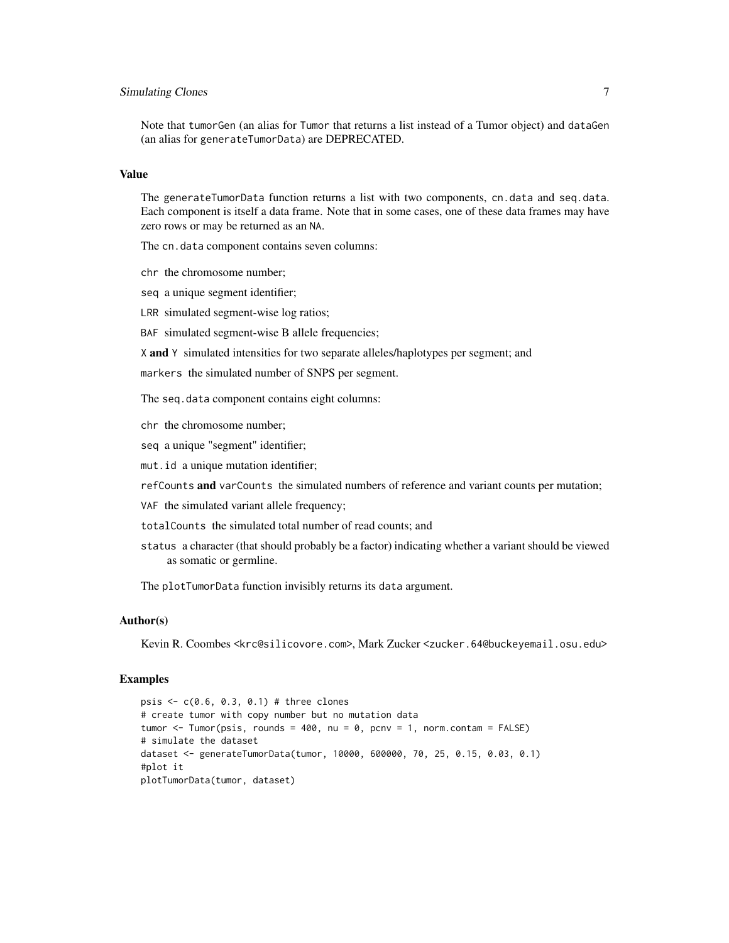#### Simulating Clones 7

Note that tumorGen (an alias for Tumor that returns a list instead of a Tumor object) and dataGen (an alias for generateTumorData) are DEPRECATED.

#### Value

The generateTumorData function returns a list with two components, cn.data and seq.data. Each component is itself a data frame. Note that in some cases, one of these data frames may have zero rows or may be returned as an NA.

The cn.data component contains seven columns:

- chr the chromosome number;
- seq a unique segment identifier;
- LRR simulated segment-wise log ratios;

BAF simulated segment-wise B allele frequencies;

X and Y simulated intensities for two separate alleles/haplotypes per segment; and

markers the simulated number of SNPS per segment.

The seq.data component contains eight columns:

chr the chromosome number;

seq a unique "segment" identifier;

mut.id a unique mutation identifier;

refCounts and varCounts the simulated numbers of reference and variant counts per mutation;

VAF the simulated variant allele frequency;

- totalCounts the simulated total number of read counts; and
- status a character (that should probably be a factor) indicating whether a variant should be viewed as somatic or germline.

The plotTumorData function invisibly returns its data argument.

#### Author(s)

Kevin R. Coombes <krc@silicovore.com>, Mark Zucker <zucker.64@buckeyemail.osu.edu>

```
psis <- c(0.6, 0.3, 0.1) # three clones
# create tumor with copy number but no mutation data
tumor \le Tumor(psis, rounds = 400, nu = 0, pcnv = 1, norm.contam = FALSE)
# simulate the dataset
dataset <- generateTumorData(tumor, 10000, 600000, 70, 25, 0.15, 0.03, 0.1)
#plot it
plotTumorData(tumor, dataset)
```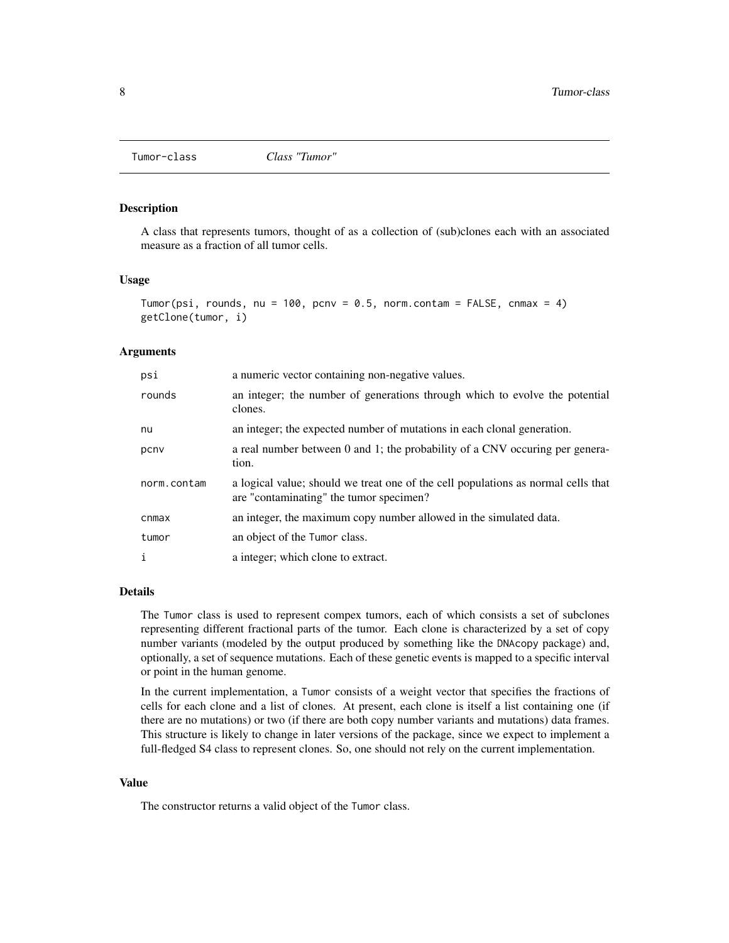<span id="page-7-0"></span>

#### Description

A class that represents tumors, thought of as a collection of (sub)clones each with an associated measure as a fraction of all tumor cells.

#### Usage

```
Tumor(psi, rounds, nu = 100, pcnv = 0.5, norm.contam = FALSE, cnmax = 4)
getClone(tumor, i)
```
#### Arguments

| psi          | a numeric vector containing non-negative values.                                                                             |
|--------------|------------------------------------------------------------------------------------------------------------------------------|
| rounds       | an integer; the number of generations through which to evolve the potential<br>clones.                                       |
| nu           | an integer; the expected number of mutations in each clonal generation.                                                      |
| pcny         | a real number between 0 and 1; the probability of a CNV occuring per genera-<br>tion.                                        |
| norm.contam  | a logical value; should we treat one of the cell populations as normal cells that<br>are "contaminating" the tumor specimen? |
| cnmax        | an integer, the maximum copy number allowed in the simulated data.                                                           |
| tumor        | an object of the Tumor class.                                                                                                |
| $\mathbf{i}$ | a integer; which clone to extract.                                                                                           |
|              |                                                                                                                              |

#### Details

The Tumor class is used to represent compex tumors, each of which consists a set of subclones representing different fractional parts of the tumor. Each clone is characterized by a set of copy number variants (modeled by the output produced by something like the DNAcopy package) and, optionally, a set of sequence mutations. Each of these genetic events is mapped to a specific interval or point in the human genome.

In the current implementation, a Tumor consists of a weight vector that specifies the fractions of cells for each clone and a list of clones. At present, each clone is itself a list containing one (if there are no mutations) or two (if there are both copy number variants and mutations) data frames. This structure is likely to change in later versions of the package, since we expect to implement a full-fledged S4 class to represent clones. So, one should not rely on the current implementation.

#### Value

The constructor returns a valid object of the Tumor class.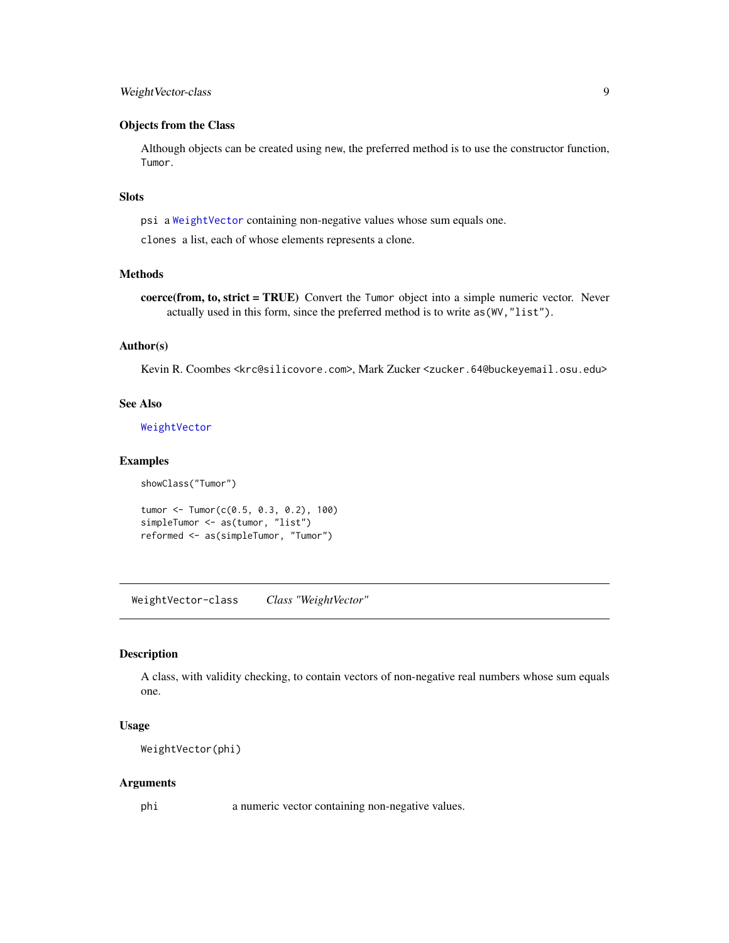#### <span id="page-8-0"></span>WeightVector-class 9

#### Objects from the Class

Although objects can be created using new, the preferred method is to use the constructor function, Tumor.

### Slots

psi a [WeightVector](#page-8-1) containing non-negative values whose sum equals one.

clones a list, each of whose elements represents a clone.

#### Methods

coerce(from, to, strict = TRUE) Convert the Tumor object into a simple numeric vector. Never actually used in this form, since the preferred method is to write as(WV,"list").

### Author(s)

Kevin R. Coombes <krc@silicovore.com>, Mark Zucker <zucker.64@buckeyemail.osu.edu>

#### See Also

[WeightVector](#page-8-1)

#### Examples

```
showClass("Tumor")
```

```
tumor <- Tumor(c(0.5, 0.3, 0.2), 100)
simpleTumor <- as(tumor, "list")
reformed <- as(simpleTumor, "Tumor")
```
WeightVector-class *Class "WeightVector"*

#### <span id="page-8-1"></span>Description

A class, with validity checking, to contain vectors of non-negative real numbers whose sum equals one.

#### Usage

WeightVector(phi)

#### Arguments

phi a numeric vector containing non-negative values.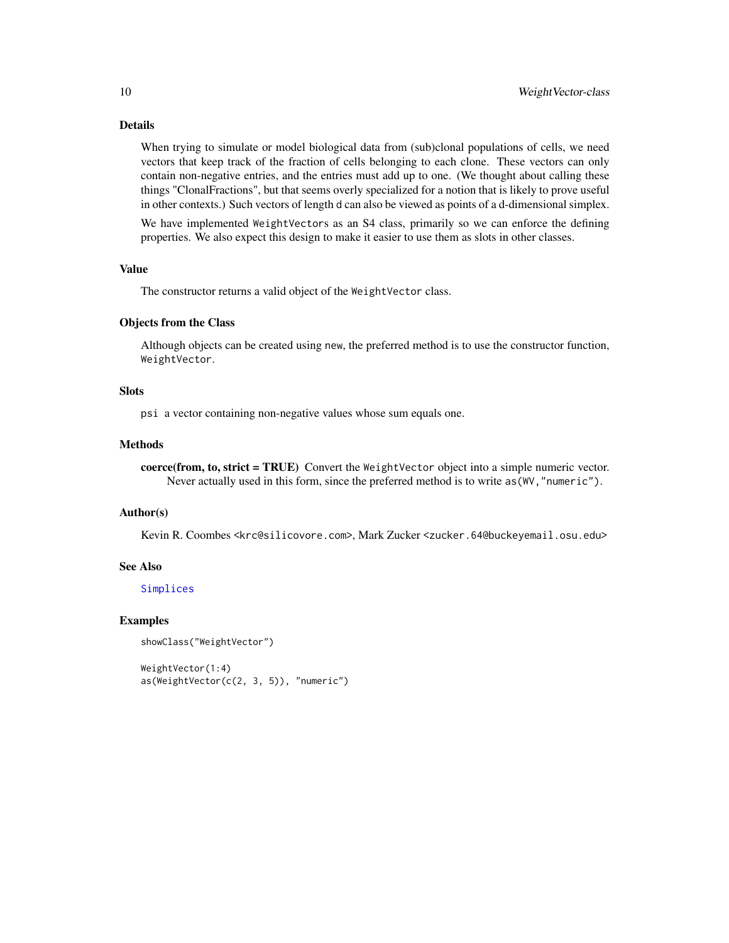### <span id="page-9-0"></span>Details

When trying to simulate or model biological data from (sub)clonal populations of cells, we need vectors that keep track of the fraction of cells belonging to each clone. These vectors can only contain non-negative entries, and the entries must add up to one. (We thought about calling these things "ClonalFractions", but that seems overly specialized for a notion that is likely to prove useful in other contexts.) Such vectors of length d can also be viewed as points of a d-dimensional simplex.

We have implemented WeightVectors as an S4 class, primarily so we can enforce the defining properties. We also expect this design to make it easier to use them as slots in other classes.

#### Value

The constructor returns a valid object of the WeightVector class.

#### Objects from the Class

Although objects can be created using new, the preferred method is to use the constructor function, WeightVector.

#### **Slots**

psi a vector containing non-negative values whose sum equals one.

#### Methods

coerce(from, to, strict = TRUE) Convert the WeightVector object into a simple numeric vector. Never actually used in this form, since the preferred method is to write as (WV, "numeric").

#### Author(s)

Kevin R. Coombes <krc@silicovore.com>, Mark Zucker <zucker.64@buckeyemail.osu.edu>

#### See Also

[Simplices](#page-4-1)

```
showClass("WeightVector")
```

```
WeightVector(1:4)
as(WeightVector(c(2, 3, 5)), "numeric")
```